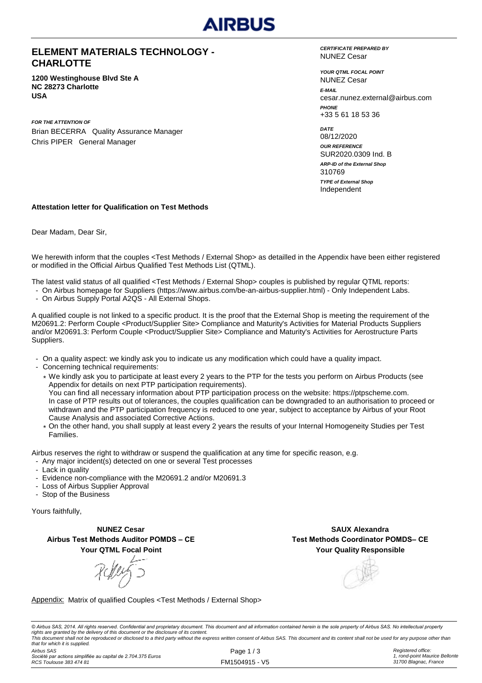

### **ELEMENT MATERIALS TECHNOLOGY - CHARLOTTE**

**1200 Westinghouse Blvd Ste A NC 28273 Charlotte USA**

*FOR THE ATTENTION OF* Brian BECERRA Quality Assurance Manager Chris PIPER General Manager

*CERTIFICATE PREPARED BY* NUNEZ Cesar

*YOUR QTML FOCAL POINT E-MAIL* cesar.nunez.external@airbus.com *PHONE* +33 5 61 18 53 36 NUNEZ Cesar

*ARP-ID of the External Shop DATE* 08/12/2020 *OUR REFERENCE* SUR2020.0309 Ind. B Independent 310769 *TYPE of External Shop*

#### **Attestation letter for Qualification on Test Methods**

Dear Madam, Dear Sir,

We herewith inform that the couples <Test Methods / External Shop> as detailled in the Appendix have been either registered or modified in the Official Airbus Qualified Test Methods List (QTML).

The latest valid status of all qualified <Test Methods / External Shop> couples is published by regular QTML reports:

- On Airbus homepage for Suppliers (https://www.airbus.com/be-an-airbus-supplier.html) Only Independent Labs.
- On Airbus Supply Portal A2QS All External Shops.

A qualified couple is not linked to a specific product. It is the proof that the External Shop is meeting the requirement of the M20691.2: Perform Couple <Product/Supplier Site> Compliance and Maturity's Activities for Material Products Suppliers and/or M20691.3: Perform Couple <Product/Supplier Site> Compliance and Maturity's Activities for Aerostructure Parts Suppliers.

- On a quality aspect: we kindly ask you to indicate us any modification which could have a quality impact.
- Concerning technical requirements:
	- \* We kindly ask you to participate at least every 2 years to the PTP for the tests you perform on Airbus Products (see Appendix for details on next PTP participation requirements). You can find all necessary information about PTP participation process on the website: https://ptpscheme.com. In case of PTP results out of tolerances, the couples qualification can be downgraded to an authorisation to proceed or withdrawn and the PTP participation frequency is reduced to one year, subject to acceptance by Airbus of your Root Cause Analysis and associated Corrective Actions.
	- \* On the other hand, you shall supply at least every 2 years the results of your Internal Homogeneity Studies per Test Families.

Airbus reserves the right to withdraw or suspend the qualification at any time for specific reason, e.g.

- Any major incident(s) detected on one or several Test processes
- Lack in quality
- Evidence non-compliance with the M20691.2 and/or M20691.3
- Loss of Airbus Supplier Approval
- Stop of the Business

Yours faithfully,

**NUNEZ Cesar Airbus Test Methods Auditor POMDS – CE Your QTML Focal Point**

**Your Quality Responsible SAUX Alexandra Test Methods Coordinator POMDS– CE**

#### Appendix: Matrix of qualified Couples <Test Methods / External Shop>

© Airbus SAS, 2014. All rights reserved. Confidential and proprietary document. This document and all information contained herein is the sole property of Airbus SAS. No intellectual property rights are granted by the delivery of this document or the disclosure of its content.<br>This document shall not be reproduced or disclosed to a third party without the express written consent of Airbus SAS. This document and *that for which it is supplied.*

*Airbus SAS Société par actions simplifiée au capital de 2.704.375 Euros RCS Toulouse 383 474 81*

Page 1 / 3 FM1504915 - V5 *Registered office: 1, rond-point Maurice Bellonte 31700 Blagnac, France*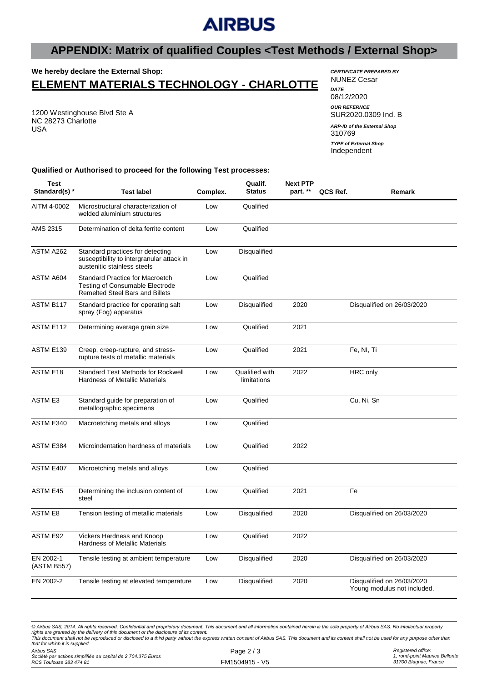# **AIRBUS**

## **APPENDIX: Matrix of qualified Couples <Test Methods / External Shop>**

## **We hereby declare the External Shop:**

## **ELEMENT MATERIALS TECHNOLOGY - CHARLOTTE**

1200 Westinghouse Blvd Ste A NC 28273 Charlotte USA

*CERTIFICATE PREPARED BY* NUNEZ Cesar *DATE* 08/12/2020 *OUR REFERNCE* SUR2020.0309 Ind. B 310769 *ARP-ID of the External Shop*

Independent *TYPE of External Shop*

#### **Qualified or Authorised to proceed for the following Test processes:**

| <b>Test</b><br>Standard(s) * | <b>Test label</b>                                                                                                          | Complex. | Qualif.<br><b>Status</b>      | <b>Next PTP</b><br>part. ** | QCS Ref. | Remark                                                    |
|------------------------------|----------------------------------------------------------------------------------------------------------------------------|----------|-------------------------------|-----------------------------|----------|-----------------------------------------------------------|
| AITM 4-0002                  | Microstructural characterization of<br>welded aluminium structures                                                         | Low      | Qualified                     |                             |          |                                                           |
| AMS 2315                     | Determination of delta ferrite content                                                                                     | Low      | Qualified                     |                             |          |                                                           |
| ASTM A262                    | Standard practices for detecting<br>susceptibility to intergranular attack in<br>austenitic stainless steels               | Low      | Disqualified                  |                             |          |                                                           |
| ASTM A604                    | <b>Standard Practice for Macroetch</b><br><b>Testing of Consumable Electrode</b><br><b>Remelted Steel Bars and Billets</b> | Low      | Qualified                     |                             |          |                                                           |
| ASTM B117                    | Standard practice for operating salt<br>spray (Fog) apparatus                                                              | Low      | Disqualified                  | 2020                        |          | Disqualified on 26/03/2020                                |
| ASTM E112                    | Determining average grain size                                                                                             | Low      | Qualified                     | 2021                        |          |                                                           |
| ASTM E139                    | Creep, creep-rupture, and stress-<br>rupture tests of metallic materials                                                   | Low      | Qualified                     | 2021                        |          | Fe, NI, Ti                                                |
| <b>ASTM E18</b>              | <b>Standard Test Methods for Rockwell</b><br><b>Hardness of Metallic Materials</b>                                         | Low      | Qualified with<br>limitations | 2022                        |          | <b>HRC</b> only                                           |
| <b>ASTM E3</b>               | Standard guide for preparation of<br>metallographic specimens                                                              | Low      | Qualified                     |                             |          | Cu, Ni, Sn                                                |
| ASTM E340                    | Macroetching metals and alloys                                                                                             | Low      | Qualified                     |                             |          |                                                           |
| ASTM E384                    | Microindentation hardness of materials                                                                                     | Low      | Qualified                     | 2022                        |          |                                                           |
| ASTM E407                    | Microetching metals and alloys                                                                                             | Low      | Qualified                     |                             |          |                                                           |
| <b>ASTM E45</b>              | Determining the inclusion content of<br>steel                                                                              | Low      | Qualified                     | 2021                        |          | Fe                                                        |
| <b>ASTM E8</b>               | Tension testing of metallic materials                                                                                      | Low      | Disqualified                  | 2020                        |          | Disqualified on 26/03/2020                                |
| ASTM E92                     | Vickers Hardness and Knoop<br>Hardness of Metallic Materials                                                               | Low      | Qualified                     | 2022                        |          |                                                           |
| EN 2002-1<br>(ASTM B557)     | Tensile testing at ambient temperature                                                                                     | Low      | <b>Disqualified</b>           | 2020                        |          | Disqualified on 26/03/2020                                |
| EN 2002-2                    | Tensile testing at elevated temperature                                                                                    | Low      | Disqualified                  | 2020                        |          | Disqualified on 26/03/2020<br>Young modulus not included. |

*© Airbus SAS, 2014. All rights reserved. Confidential and proprietary document. This document and all information contained herein is the sole property of Airbus SAS. No intellectual property*  rights are granted by the delivery of this document or the disclosure of its content.<br>This document shall not be reproduced or disclosed to a third party without the express written consent of Airbus SAS. This document and *that for which it is supplied.*

*Airbus SAS*